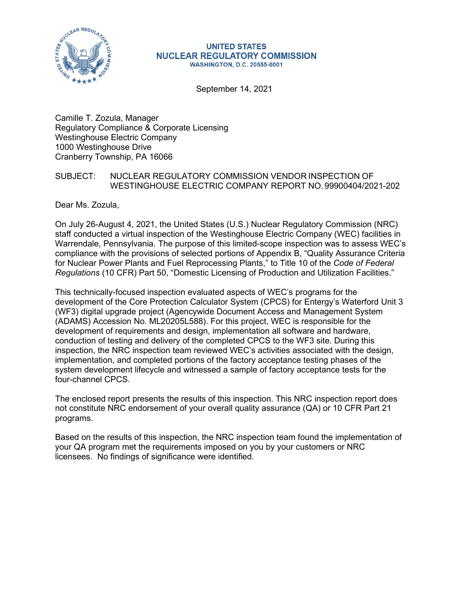

#### **UNITED STATES NUCLEAR REGULATORY COMMISSION WASHINGTON, D.C. 20555-0001**

September 14, 2021

Camille T. Zozula, Manager Regulatory Compliance & Corporate Licensing Westinghouse Electric Company 1000 Westinghouse Drive Cranberry Township, PA 16066

## SUBJECT: NUCLEAR REGULATORY COMMISSION VENDOR INSPECTION OF WESTINGHOUSE ELECTRIC COMPANY REPORT NO. 99900404/2021-202

Dear Ms. Zozula,

On July 26-August 4, 2021, the United States (U.S.) Nuclear Regulatory Commission (NRC) staff conducted a virtual inspection of the Westinghouse Electric Company (WEC) facilities in Warrendale, Pennsylvania. The purpose of this limited-scope inspection was to assess WEC's compliance with the provisions of selected portions of Appendix B, "Quality Assurance Criteria for Nuclear Power Plants and Fuel Reprocessing Plants," to Title 10 of the *Code of Federal Regulations* (10 CFR) Part 50, "Domestic Licensing of Production and Utilization Facilities."

This technically-focused inspection evaluated aspects of WEC's programs for the development of the Core Protection Calculator System (CPCS) for Entergy's Waterford Unit 3 (WF3) digital upgrade project (Agencywide Document Access and Management System (ADAMS) Accession No. ML20205L588). For this project, WEC is responsible for the development of requirements and design, implementation all software and hardware, conduction of testing and delivery of the completed CPCS to the WF3 site. During this inspection, the NRC inspection team reviewed WEC's activities associated with the design, implementation, and completed portions of the factory acceptance testing phases of the system development lifecycle and witnessed a sample of factory acceptance tests for the four-channel CPCS.

The enclosed report presents the results of this inspection. This NRC inspection report does not constitute NRC endorsement of your overall quality assurance (QA) or 10 CFR Part 21 programs.

Based on the results of this inspection, the NRC inspection team found the implementation of your QA program met the requirements imposed on you by your customers or NRC licensees. No findings of significance were identified.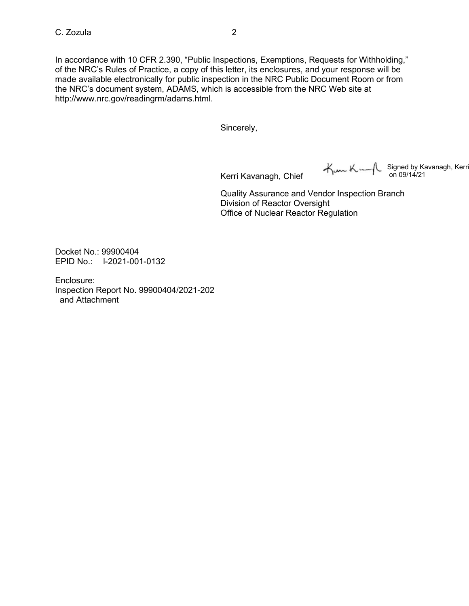In accordance with 10 CFR 2.390, "Public Inspections, Exemptions, Requests for Withholding," of the NRC's Rules of Practice, a copy of this letter, its enclosures, and your response will be made available electronically for public inspection in the NRC Public Document Room or from the NRC's document system, ADAMS, which is accessible from the NRC Web site at [http://www.nrc.gov/readingrm/adams.html.](http://www.nrc.gov/readingrm/adams.html)

Sincerely,

Kerri Kavanagh, Chief

Kum Kum (Signed by Kavanagh, Kerri)<br>on 09/14/21

Quality Assurance and Vendor Inspection Branch Division of Reactor Oversight Office of Nuclear Reactor Regulation

Docket No.: 99900404 EPID No.: l-2021-001-0132

Enclosure: Inspection Report No. 99900404/2021-202 and Attachment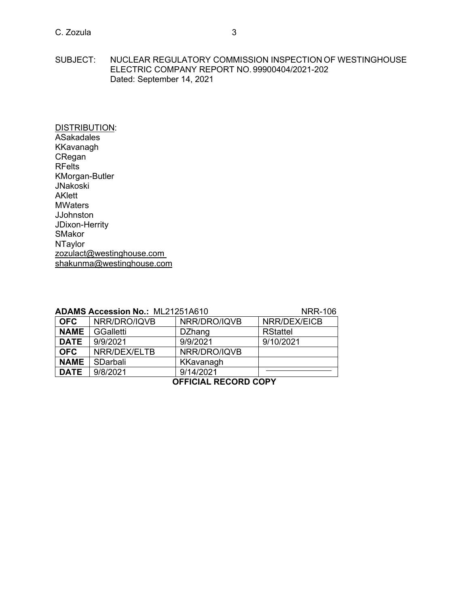## C. Zozula 3

SUBJECT: NUCLEAR REGULATORY COMMISSION INSPECTION OF WESTINGHOUSE ELECTRIC COMPANY REPORT NO. 99900404/2021-202 Dated: September 14, 2021

DISTRIBUTION: **ASakadales** KKavanagh CRegan RFelts KMorgan-Butler JNakoski AKlett **MWaters** JJohnston JDixon-Herrity SMakor **NTaylor** [zozulact@westinghouse.com](mailto:zozulact@westinghouse.com) [shakunma@westinghouse.com](mailto:shakunma@westinghouse.com)

|             | <b>ADAMS Accession No.: ML21251A610</b> | <b>NRR-106</b> |                 |  |  |
|-------------|-----------------------------------------|----------------|-----------------|--|--|
| <b>OFC</b>  | NRR/DRO/IQVB                            | NRR/DRO/IQVB   | NRR/DEX/EICB    |  |  |
| <b>NAME</b> | GGalletti                               | <b>DZhang</b>  | <b>RStattel</b> |  |  |
| <b>DATE</b> | 9/9/2021                                | 9/9/2021       | 9/10/2021       |  |  |
| <b>OFC</b>  | NRR/DEX/ELTB                            | NRR/DRO/IQVB   |                 |  |  |
| <b>NAME</b> | SDarbali                                | KKavanagh      |                 |  |  |
| <b>DATE</b> | 9/8/2021                                | 9/14/2021      |                 |  |  |
|             |                                         |                |                 |  |  |

### **OFFICIAL RECORD COPY**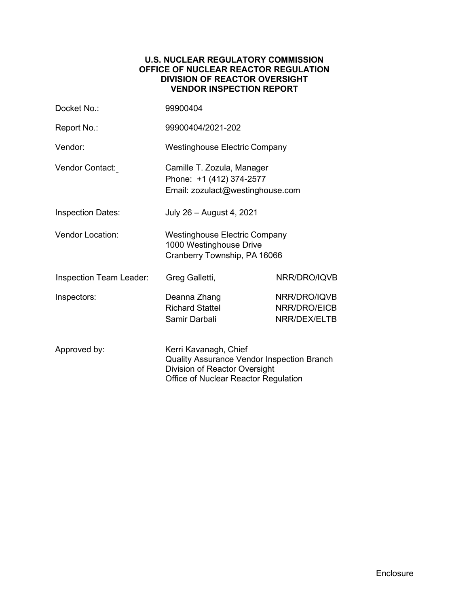#### **U.S. NUCLEAR REGULATORY COMMISSION OFFICE OF NUCLEAR REACTOR REGULATION DIVISION OF REACTOR OVERSIGHT VENDOR INSPECTION REPORT**

| Docket No.:              | 99900404                                                                                                                                            |                                              |  |
|--------------------------|-----------------------------------------------------------------------------------------------------------------------------------------------------|----------------------------------------------|--|
| Report No.:              | 99900404/2021-202                                                                                                                                   |                                              |  |
| Vendor:                  | <b>Westinghouse Electric Company</b>                                                                                                                |                                              |  |
| Vendor Contact:          | Camille T. Zozula, Manager<br>Phone: +1 (412) 374-2577<br>Email: zozulact@westinghouse.com                                                          |                                              |  |
| <b>Inspection Dates:</b> | July 26 - August 4, 2021                                                                                                                            |                                              |  |
| <b>Vendor Location:</b>  | <b>Westinghouse Electric Company</b><br>1000 Westinghouse Drive<br>Cranberry Township, PA 16066                                                     |                                              |  |
| Inspection Team Leader:  | Greg Galletti,                                                                                                                                      | NRR/DRO/IQVB                                 |  |
| Inspectors:              | Deanna Zhang<br><b>Richard Stattel</b><br>Samir Darbali                                                                                             | NRR/DRO/IQVB<br>NRR/DRO/EICB<br>NRR/DEX/ELTB |  |
| Approved by:             | Kerri Kavanagh, Chief<br><b>Quality Assurance Vendor Inspection Branch</b><br>Division of Reactor Oversight<br>Office of Nuclear Reactor Regulation |                                              |  |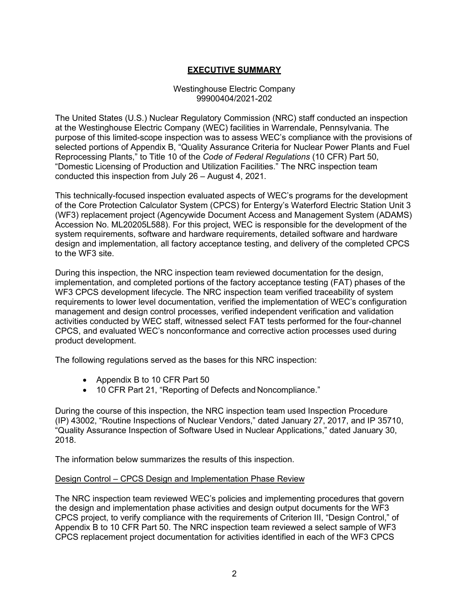## **EXECUTIVE SUMMARY**

#### Westinghouse Electric Company 99900404/2021-202

The United States (U.S.) Nuclear Regulatory Commission (NRC) staff conducted an inspection at the Westinghouse Electric Company (WEC) facilities in Warrendale, Pennsylvania. The purpose of this limited-scope inspection was to assess WEC's compliance with the provisions of selected portions of Appendix B, "Quality Assurance Criteria for Nuclear Power Plants and Fuel Reprocessing Plants," to Title 10 of the *Code of Federal Regulations* (10 CFR) Part 50, "Domestic Licensing of Production and Utilization Facilities." The NRC inspection team conducted this inspection from July 26 – August 4, 2021.

This technically-focused inspection evaluated aspects of WEC's programs for the development of the Core Protection Calculator System (CPCS) for Entergy's Waterford Electric Station Unit 3 (WF3) replacement project (Agencywide Document Access and Management System (ADAMS) Accession No. ML20205L588). For this project, WEC is responsible for the development of the system requirements, software and hardware requirements, detailed software and hardware design and implementation, all factory acceptance testing, and delivery of the completed CPCS to the WF3 site.

During this inspection, the NRC inspection team reviewed documentation for the design, implementation, and completed portions of the factory acceptance testing (FAT) phases of the WF3 CPCS development lifecycle. The NRC inspection team verified traceability of system requirements to lower level documentation, verified the implementation of WEC's configuration management and design control processes, verified independent verification and validation activities conducted by WEC staff, witnessed select FAT tests performed for the four-channel CPCS, and evaluated WEC's nonconformance and corrective action processes used during product development.

The following regulations served as the bases for this NRC inspection:

- Appendix B to 10 CFR Part 50
- 10 CFR Part 21, "Reporting of Defects and Noncompliance."

During the course of this inspection, the NRC inspection team used Inspection Procedure (IP) 43002, "Routine Inspections of Nuclear Vendors," dated January 27, 2017, and IP 35710, "Quality Assurance Inspection of Software Used in Nuclear Applications," dated January 30, 2018.

The information below summarizes the results of this inspection.

#### Design Control – CPCS Design and Implementation Phase Review

The NRC inspection team reviewed WEC's policies and implementing procedures that govern the design and implementation phase activities and design output documents for the WF3 CPCS project, to verify compliance with the requirements of Criterion III, "Design Control," of Appendix B to 10 CFR Part 50. The NRC inspection team reviewed a select sample of WF3 CPCS replacement project documentation for activities identified in each of the WF3 CPCS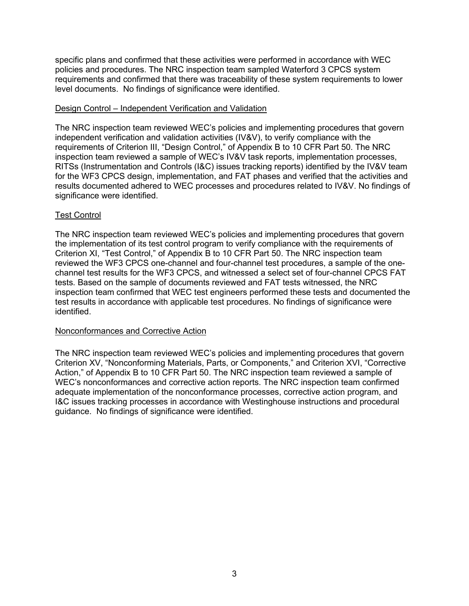specific plans and confirmed that these activities were performed in accordance with WEC policies and procedures. The NRC inspection team sampled Waterford 3 CPCS system requirements and confirmed that there was traceability of these system requirements to lower level documents. No findings of significance were identified.

#### Design Control – Independent Verification and Validation

The NRC inspection team reviewed WEC's policies and implementing procedures that govern independent verification and validation activities (IV&V), to verify compliance with the requirements of Criterion III, "Design Control," of Appendix B to 10 CFR Part 50. The NRC inspection team reviewed a sample of WEC's IV&V task reports, implementation processes, RITSs (Instrumentation and Controls (I&C) issues tracking reports) identified by the IV&V team for the WF3 CPCS design, implementation, and FAT phases and verified that the activities and results documented adhered to WEC processes and procedures related to IV&V. No findings of significance were identified.

### Test Control

The NRC inspection team reviewed WEC's policies and implementing procedures that govern the implementation of its test control program to verify compliance with the requirements of Criterion XI, "Test Control," of Appendix B to 10 CFR Part 50. The NRC inspection team reviewed the WF3 CPCS one-channel and four-channel test procedures, a sample of the onechannel test results for the WF3 CPCS, and witnessed a select set of four-channel CPCS FAT tests. Based on the sample of documents reviewed and FAT tests witnessed, the NRC inspection team confirmed that WEC test engineers performed these tests and documented the test results in accordance with applicable test procedures. No findings of significance were identified.

#### Nonconformances and Corrective Action

The NRC inspection team reviewed WEC's policies and implementing procedures that govern Criterion XV, "Nonconforming Materials, Parts, or Components," and Criterion XVI, "Corrective Action," of Appendix B to 10 CFR Part 50. The NRC inspection team reviewed a sample of WEC's nonconformances and corrective action reports. The NRC inspection team confirmed adequate implementation of the nonconformance processes, corrective action program, and I&C issues tracking processes in accordance with Westinghouse instructions and procedural guidance. No findings of significance were identified.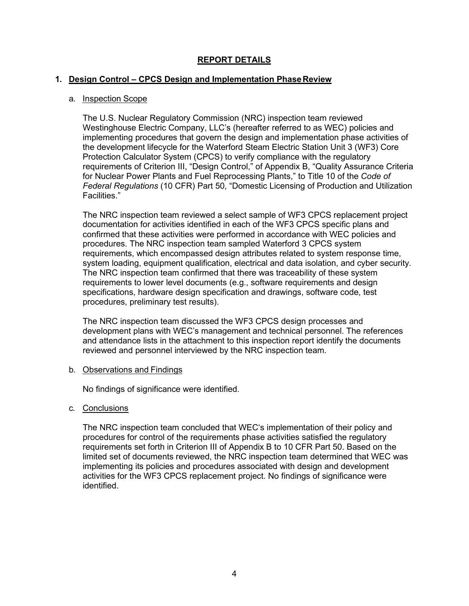## **REPORT DETAILS**

#### **1. Design Control – CPCS Design and Implementation PhaseReview**

#### a. Inspection Scope

The U.S. Nuclear Regulatory Commission (NRC) inspection team reviewed Westinghouse Electric Company, LLC's (hereafter referred to as WEC) policies and implementing procedures that govern the design and implementation phase activities of the development lifecycle for the Waterford Steam Electric Station Unit 3 (WF3) Core Protection Calculator System (CPCS) to verify compliance with the regulatory requirements of Criterion III, "Design Control," of Appendix B, "Quality Assurance Criteria for Nuclear Power Plants and Fuel Reprocessing Plants," to Title 10 of the *Code of Federal Regulations* (10 CFR) Part 50, "Domestic Licensing of Production and Utilization Facilities."

The NRC inspection team reviewed a select sample of WF3 CPCS replacement project documentation for activities identified in each of the WF3 CPCS specific plans and confirmed that these activities were performed in accordance with WEC policies and procedures. The NRC inspection team sampled Waterford 3 CPCS system requirements, which encompassed design attributes related to system response time, system loading, equipment qualification, electrical and data isolation, and cyber security. The NRC inspection team confirmed that there was traceability of these system requirements to lower level documents (e.g., software requirements and design specifications, hardware design specification and drawings, software code, test procedures, preliminary test results).

The NRC inspection team discussed the WF3 CPCS design processes and development plans with WEC's management and technical personnel. The references and attendance lists in the attachment to this inspection report identify the documents reviewed and personnel interviewed by the NRC inspection team.

#### b. Observations and Findings

No findings of significance were identified.

c. Conclusions

The NRC inspection team concluded that WEC's implementation of their policy and procedures for control of the requirements phase activities satisfied the regulatory requirements set forth in Criterion III of Appendix B to 10 CFR Part 50. Based on the limited set of documents reviewed, the NRC inspection team determined that WEC was implementing its policies and procedures associated with design and development activities for the WF3 CPCS replacement project. No findings of significance were identified.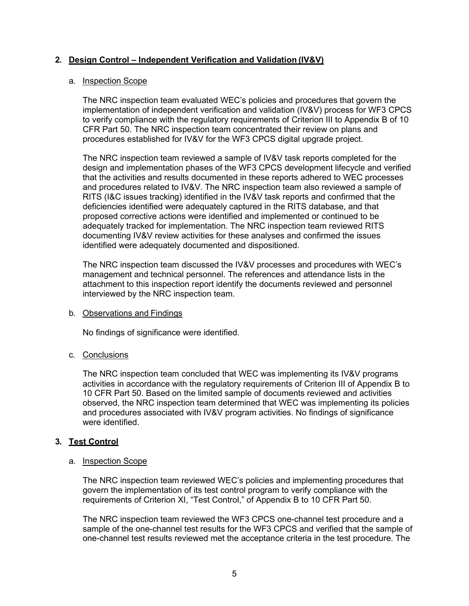## **2. Design Control – Independent Verification and Validation (IV&V)**

#### a. Inspection Scope

The NRC inspection team evaluated WEC's policies and procedures that govern the implementation of independent verification and validation (IV&V) process for WF3 CPCS to verify compliance with the regulatory requirements of Criterion III to Appendix B of 10 CFR Part 50. The NRC inspection team concentrated their review on plans and procedures established for IV&V for the WF3 CPCS digital upgrade project.

The NRC inspection team reviewed a sample of IV&V task reports completed for the design and implementation phases of the WF3 CPCS development lifecycle and verified that the activities and results documented in these reports adhered to WEC processes and procedures related to IV&V. The NRC inspection team also reviewed a sample of RITS (I&C issues tracking) identified in the IV&V task reports and confirmed that the deficiencies identified were adequately captured in the RITS database, and that proposed corrective actions were identified and implemented or continued to be adequately tracked for implementation. The NRC inspection team reviewed RITS documenting IV&V review activities for these analyses and confirmed the issues identified were adequately documented and dispositioned.

The NRC inspection team discussed the IV&V processes and procedures with WEC's management and technical personnel. The references and attendance lists in the attachment to this inspection report identify the documents reviewed and personnel interviewed by the NRC inspection team.

#### b. Observations and Findings

No findings of significance were identified.

### c. Conclusions

The NRC inspection team concluded that WEC was implementing its IV&V programs activities in accordance with the regulatory requirements of Criterion III of Appendix B to 10 CFR Part 50. Based on the limited sample of documents reviewed and activities observed, the NRC inspection team determined that WEC was implementing its policies and procedures associated with IV&V program activities. No findings of significance were identified.

### **3. Test Control**

#### a. Inspection Scope

The NRC inspection team reviewed WEC's policies and implementing procedures that govern the implementation of its test control program to verify compliance with the requirements of Criterion XI, "Test Control," of Appendix B to 10 CFR Part 50.

The NRC inspection team reviewed the WF3 CPCS one-channel test procedure and a sample of the one-channel test results for the WF3 CPCS and verified that the sample of one-channel test results reviewed met the acceptance criteria in the test procedure. The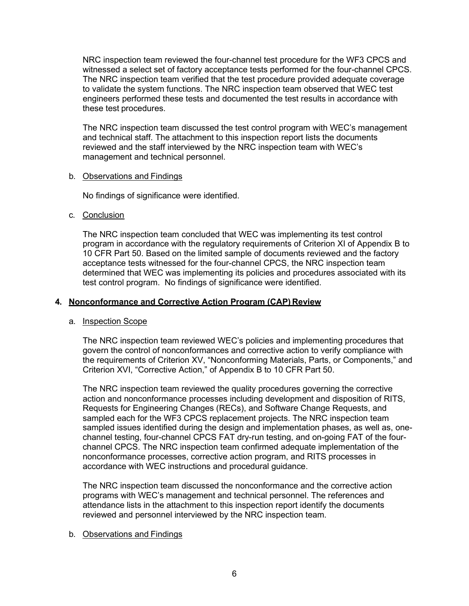NRC inspection team reviewed the four-channel test procedure for the WF3 CPCS and witnessed a select set of factory acceptance tests performed for the four-channel CPCS. The NRC inspection team verified that the test procedure provided adequate coverage to validate the system functions. The NRC inspection team observed that WEC test engineers performed these tests and documented the test results in accordance with these test procedures.

The NRC inspection team discussed the test control program with WEC's management and technical staff. The attachment to this inspection report lists the documents reviewed and the staff interviewed by the NRC inspection team with WEC's management and technical personnel.

#### b. Observations and Findings

No findings of significance were identified.

### c. Conclusion

The NRC inspection team concluded that WEC was implementing its test control program in accordance with the regulatory requirements of Criterion XI of Appendix B to 10 CFR Part 50. Based on the limited sample of documents reviewed and the factory acceptance tests witnessed for the four-channel CPCS, the NRC inspection team determined that WEC was implementing its policies and procedures associated with its test control program. No findings of significance were identified.

## **4. Nonconformance and Corrective Action Program (CAP) Review**

### a. Inspection Scope

The NRC inspection team reviewed WEC's policies and implementing procedures that govern the control of nonconformances and corrective action to verify compliance with the requirements of Criterion XV, "Nonconforming Materials, Parts, or Components," and Criterion XVI, "Corrective Action," of Appendix B to 10 CFR Part 50.

The NRC inspection team reviewed the quality procedures governing the corrective action and nonconformance processes including development and disposition of RITS, Requests for Engineering Changes (RECs), and Software Change Requests, and sampled each for the WF3 CPCS replacement projects. The NRC inspection team sampled issues identified during the design and implementation phases, as well as, onechannel testing, four-channel CPCS FAT dry-run testing, and on-going FAT of the fourchannel CPCS. The NRC inspection team confirmed adequate implementation of the nonconformance processes, corrective action program, and RITS processes in accordance with WEC instructions and procedural guidance.

The NRC inspection team discussed the nonconformance and the corrective action programs with WEC's management and technical personnel. The references and attendance lists in the attachment to this inspection report identify the documents reviewed and personnel interviewed by the NRC inspection team.

### b. Observations and Findings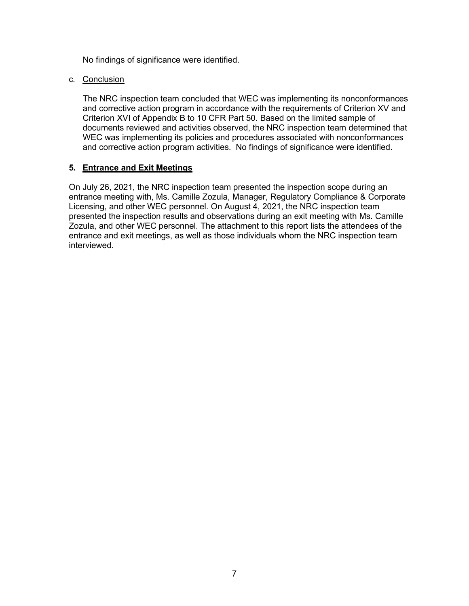No findings of significance were identified.

#### c. Conclusion

The NRC inspection team concluded that WEC was implementing its nonconformances and corrective action program in accordance with the requirements of Criterion XV and Criterion XVI of Appendix B to 10 CFR Part 50. Based on the limited sample of documents reviewed and activities observed, the NRC inspection team determined that WEC was implementing its policies and procedures associated with nonconformances and corrective action program activities. No findings of significance were identified.

#### **5. Entrance and Exit Meetings**

On July 26, 2021, the NRC inspection team presented the inspection scope during an entrance meeting with, Ms. Camille Zozula, Manager, Regulatory Compliance & Corporate Licensing, and other WEC personnel. On August 4, 2021, the NRC inspection team presented the inspection results and observations during an exit meeting with Ms. Camille Zozula, and other WEC personnel. The attachment to this report lists the attendees of the entrance and exit meetings, as well as those individuals whom the NRC inspection team interviewed.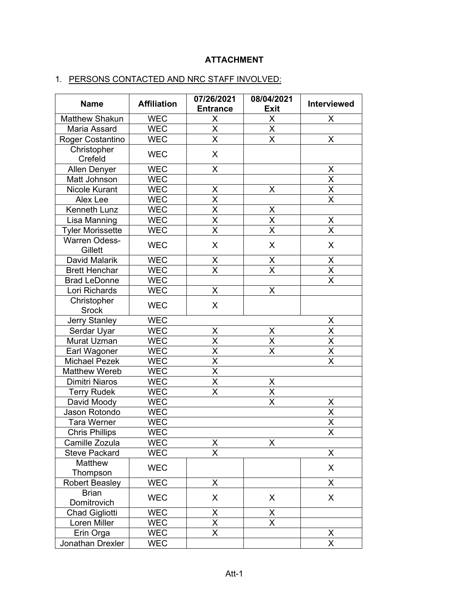## **ATTACHMENT**

# 1. PERSONS CONTACTED AND NRC STAFF INVOLVED:

| <b>Name</b>                     | <b>Affiliation</b> | 07/26/2021<br><b>Entrance</b> | 08/04/2021<br><b>Exit</b> | <b>Interviewed</b>      |
|---------------------------------|--------------------|-------------------------------|---------------------------|-------------------------|
| Matthew Shakun                  | <b>WEC</b>         | Χ                             | X                         | X                       |
| Maria Assard                    | <b>WEC</b>         | $\overline{\mathsf{X}}$       | $\overline{\mathsf{x}}$   |                         |
| Roger Costantino                | <b>WEC</b>         | X                             | X                         | X                       |
| Christopher<br>Crefeld          | <b>WEC</b>         | X                             |                           |                         |
| Allen Denyer                    | <b>WEC</b>         | $\overline{\mathsf{X}}$       |                           | X                       |
| Matt Johnson                    | <b>WEC</b>         |                               |                           | X                       |
| <b>Nicole Kurant</b>            | <b>WEC</b>         | X                             | X                         | X                       |
| Alex Lee                        | <b>WEC</b>         | $\overline{\mathsf{x}}$       |                           | $\overline{\mathsf{x}}$ |
| Kenneth Lunz                    | <b>WEC</b>         | X                             | X                         |                         |
| Lisa Manning                    | <b>WEC</b>         | $\overline{\mathsf{X}}$       | $\overline{\mathsf{x}}$   | Χ                       |
| <b>Tyler Morissette</b>         | <b>WEC</b>         | $\overline{\mathsf{x}}$       | $\overline{\mathsf{x}}$   | $\overline{\mathsf{X}}$ |
| <b>Warren Odess-</b><br>Gillett | <b>WEC</b>         | X                             | X                         | X                       |
| David Malarik                   | <b>WEC</b>         | Χ                             | Χ                         | Χ                       |
| <b>Brett Henchar</b>            | <b>WEC</b>         | $\overline{\mathsf{x}}$       | $\overline{\mathsf{x}}$   | $\overline{\mathsf{x}}$ |
| <b>Brad LeDonne</b>             | <b>WEC</b>         |                               |                           | X                       |
| Lori Richards                   | <b>WEC</b>         | X                             | X                         |                         |
| Christopher<br><b>Srock</b>     | <b>WEC</b>         | X                             |                           |                         |
| Jerry Stanley                   | <b>WEC</b>         |                               |                           | X                       |
| Serdar Uyar                     | <b>WEC</b>         | Χ                             | X                         | X                       |
| Murat Uzman                     | <b>WEC</b>         | $\overline{\mathsf{x}}$       | $\overline{\mathsf{X}}$   | X                       |
| Earl Wagoner                    | <b>WEC</b>         | $\overline{\mathsf{x}}$       | $\overline{\mathsf{x}}$   | $\overline{\mathsf{x}}$ |
| <b>Michael Pezek</b>            | <b>WEC</b>         | $\overline{\mathsf{x}}$       |                           | $\overline{\mathsf{x}}$ |
| <b>Matthew Wereb</b>            | <b>WEC</b>         | $\overline{\mathsf{X}}$       |                           |                         |
| <b>Dimitri Niaros</b>           | <b>WEC</b>         | $\overline{\mathsf{x}}$       | Χ                         |                         |
| <b>Terry Rudek</b>              | <b>WEC</b>         | $\overline{\mathsf{x}}$       | $\overline{\mathsf{x}}$   |                         |
| David Moody                     | <b>WEC</b>         |                               | X                         | X                       |
| Jason Rotondo                   | <b>WEC</b>         |                               |                           | X                       |
| <b>Tara Werner</b>              | <b>WEC</b>         |                               |                           | $\overline{\mathsf{x}}$ |
| <b>Chris Phillips</b>           | <b>WEC</b>         |                               |                           | $\overline{\mathsf{X}}$ |
| Camille Zozula                  | <b>WEC</b>         | Χ                             | X                         |                         |
| <b>Steve Packard</b>            | <b>WEC</b>         | X                             |                           | X                       |
| Matthew                         | <b>WEC</b>         |                               |                           | X                       |
| Thompson                        |                    |                               |                           |                         |
| <b>Robert Beasley</b>           | <b>WEC</b>         | X                             |                           | X                       |
| <b>Brian</b><br>Domitrovich     | <b>WEC</b>         | X                             | X                         | X                       |
| <b>Chad Gigliotti</b>           | <b>WEC</b>         | Χ                             | Χ                         |                         |
| Loren Miller                    | <b>WEC</b>         | X                             | $\overline{\mathsf{x}}$   |                         |
| Erin Orga                       | <b>WEC</b>         | $\overline{\mathsf{x}}$       |                           | X                       |
| Jonathan Drexler                | <b>WEC</b>         |                               |                           | X                       |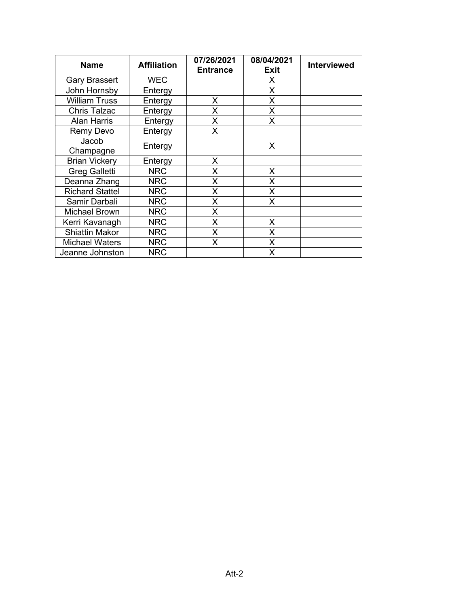| <b>Name</b>            | <b>Affiliation</b> | 07/26/2021<br><b>Entrance</b> | 08/04/2021<br><b>Exit</b> | <b>Interviewed</b> |
|------------------------|--------------------|-------------------------------|---------------------------|--------------------|
| <b>Gary Brassert</b>   | <b>WEC</b>         |                               | X                         |                    |
| John Hornsby           | Entergy            |                               | X                         |                    |
| <b>William Truss</b>   | Entergy            | X                             | X                         |                    |
| <b>Chris Talzac</b>    | Entergy            | X                             | X                         |                    |
| <b>Alan Harris</b>     | Entergy            | X                             | X                         |                    |
| Remy Devo              | Entergy            | X                             |                           |                    |
| Jacob<br>Champagne     | Entergy            |                               | X                         |                    |
| <b>Brian Vickery</b>   | Entergy            | X                             |                           |                    |
| <b>Greg Galletti</b>   | <b>NRC</b>         | X                             | X                         |                    |
| Deanna Zhang           | <b>NRC</b>         | X                             | X                         |                    |
| <b>Richard Stattel</b> | <b>NRC</b>         | X                             | X                         |                    |
| Samir Darbali          | <b>NRC</b>         | X                             | X                         |                    |
| <b>Michael Brown</b>   | <b>NRC</b>         | X                             |                           |                    |
| Kerri Kavanagh         | <b>NRC</b>         | X                             | X                         |                    |
| <b>Shiattin Makor</b>  | <b>NRC</b>         | X                             | X                         |                    |
| <b>Michael Waters</b>  | <b>NRC</b>         | X                             | X                         |                    |
| Jeanne Johnston        | <b>NRC</b>         |                               | X                         |                    |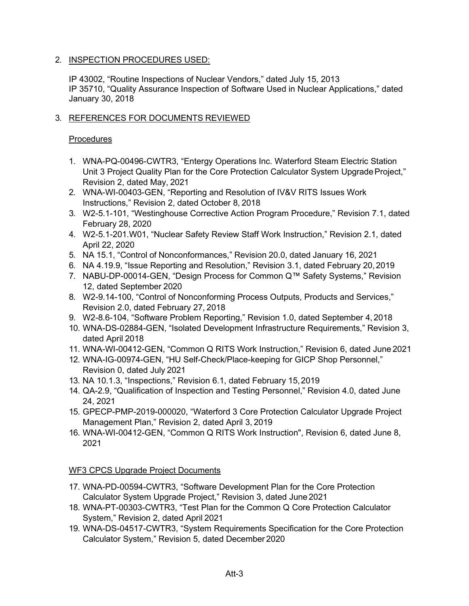## 2. INSPECTION PROCEDURES USED:

IP 43002, "Routine Inspections of Nuclear Vendors," dated July 15, 2013 IP 35710, "Quality Assurance Inspection of Software Used in Nuclear Applications," dated January 30, 2018

## 3. REFERENCES FOR DOCUMENTS REVIEWED

### **Procedures**

- 1. WNA-PQ-00496-CWTR3, "Entergy Operations Inc. Waterford Steam Electric Station Unit 3 Project Quality Plan for the Core Protection Calculator System Upgrade Project," Revision 2, dated May, 2021
- 2. WNA-WI-00403-GEN, "Reporting and Resolution of IV&V RITS Issues Work Instructions," Revision 2, dated October 8, 2018
- 3. W2-5.1-101, "Westinghouse Corrective Action Program Procedure," Revision 7.1, dated February 28, 2020
- 4. W2-5.1-201.W01, "Nuclear Safety Review Staff Work Instruction," Revision 2.1, dated April 22, 2020
- 5. NA 15.1, "Control of Nonconformances," Revision 20.0, dated January 16, 2021
- 6. NA 4.19.9, "Issue Reporting and Resolution," Revision 3.1, dated February 20,2019
- 7. NABU-DP-00014-GEN, "Design Process for Common Q™ Safety Systems," Revision 12, dated September 2020
- 8. W2-9.14-100, "Control of Nonconforming Process Outputs, Products and Services," Revision 2.0, dated February 27, 2018
- 9. W2-8.6-104, "Software Problem Reporting," Revision 1.0, dated September 4, 2018
- 10. WNA-DS-02884-GEN, "Isolated Development Infrastructure Requirements," Revision 3, dated April 2018
- 11. WNA-WI-00412-GEN, "Common Q RITS Work Instruction," Revision 6, dated June 2021
- 12. WNA-IG-00974-GEN, "HU Self-Check/Place-keeping for GICP Shop Personnel," Revision 0, dated July 2021
- 13. NA 10.1.3, "Inspections," Revision 6.1, dated February 15,2019
- 14. QA-2.9, "Qualification of Inspection and Testing Personnel," Revision 4.0, dated June 24, 2021
- 15. GPECP-PMP-2019-000020, "Waterford 3 Core Protection Calculator Upgrade Project Management Plan," Revision 2, dated April 3, 2019
- 16. WNA-WI-00412-GEN, "Common Q RITS Work Instruction", Revision 6, dated June 8, 2021

## WF3 CPCS Upgrade Project Documents

- 17. WNA-PD-00594-CWTR3, "Software Development Plan for the Core Protection Calculator System Upgrade Project," Revision 3, dated June 2021
- 18. WNA-PT-00303-CWTR3, "Test Plan for the Common Q Core Protection Calculator System," Revision 2, dated April 2021
- 19. WNA-DS-04517-CWTR3, "System Requirements Specification for the Core Protection Calculator System," Revision 5, dated December 2020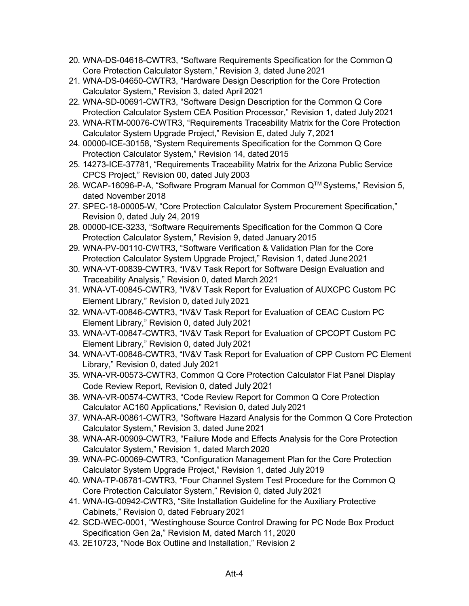- 20. WNA-DS-04618-CWTR3, "Software Requirements Specification for the Common Q Core Protection Calculator System," Revision 3, dated June 2021
- 21. WNA-DS-04650-CWTR3, "Hardware Design Description for the Core Protection Calculator System," Revision 3, dated April 2021
- 22. WNA-SD-00691-CWTR3, "Software Design Description for the Common Q Core Protection Calculator System CEA Position Processor," Revision 1, dated July 2021
- 23. WNA-RTM-00076-CWTR3, "Requirements Traceability Matrix for the Core Protection Calculator System Upgrade Project," Revision E, dated July 7, 2021
- 24. 00000-ICE-30158, "System Requirements Specification for the Common Q Core Protection Calculator System," Revision 14, dated 2015
- 25. 14273-ICE-37781, "Requirements Traceability Matrix for the Arizona Public Service CPCS Project," Revision 00, dated July 2003
- 26. WCAP-16096-P-A, "Software Program Manual for Common Q™ Systems," Revision 5, dated November 2018
- 27. SPEC-18-00005-W, "Core Protection Calculator System Procurement Specification," Revision 0, dated July 24, 2019
- 28. 00000-ICE-3233, "Software Requirements Specification for the Common Q Core Protection Calculator System," Revision 9, dated January 2015
- 29. WNA-PV-00110-CWTR3, "Software Verification & Validation Plan for the Core Protection Calculator System Upgrade Project," Revision 1, dated June2021
- 30. WNA-VT-00839-CWTR3, "IV&V Task Report for Software Design Evaluation and Traceability Analysis," Revision 0, dated March 2021
- 31. WNA-VT-00845-CWTR3, "IV&V Task Report for Evaluation of AUXCPC Custom PC Element Library," Revision 0, dated July 2021
- 32. WNA-VT-00846-CWTR3, "IV&V Task Report for Evaluation of CEAC Custom PC Element Library," Revision 0, dated July 2021
- 33. WNA-VT-00847-CWTR3, "IV&V Task Report for Evaluation of CPCOPT Custom PC Element Library," Revision 0, dated July 2021
- 34. WNA-VT-00848-CWTR3, "IV&V Task Report for Evaluation of CPP Custom PC Element Library," Revision 0, dated July 2021
- 35. WNA-VR-00573-CWTR3, Common Q Core Protection Calculator Flat Panel Display Code Review Report, Revision 0, dated July 2021
- 36. WNA-VR-00574-CWTR3, "Code Review Report for Common Q Core Protection Calculator AC160 Applications," Revision 0, dated July2021
- 37. WNA-AR-00861-CWTR3, "Software Hazard Analysis for the Common Q Core Protection Calculator System," Revision 3, dated June 2021
- 38. WNA-AR-00909-CWTR3, "Failure Mode and Effects Analysis for the Core Protection Calculator System," Revision 1, dated March 2020
- 39. WNA-PC-00069-CWTR3, "Configuration Management Plan for the Core Protection Calculator System Upgrade Project," Revision 1, dated July 2019
- 40. WNA-TP-06781-CWTR3, "Four Channel System Test Procedure for the Common Q Core Protection Calculator System," Revision 0, dated July 2021
- 41. WNA-IG-00942-CWTR3, "Site Installation Guideline for the Auxiliary Protective Cabinets," Revision 0, dated February 2021
- 42. SCD-WEC-0001, "Westinghouse Source Control Drawing for PC Node Box Product Specification Gen 2a," Revision M, dated March 11, 2020
- 43. 2E10723, "Node Box Outline and Installation," Revision 2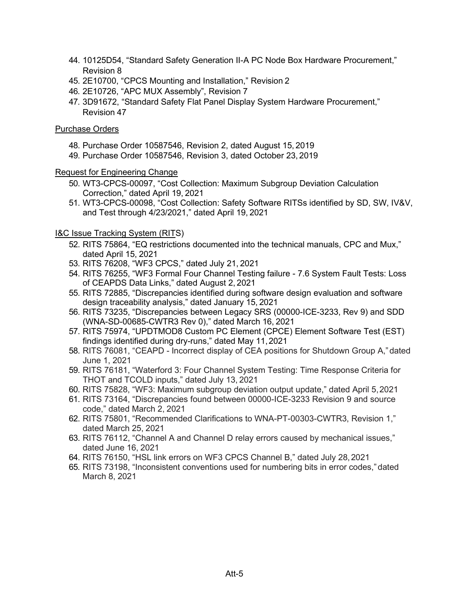- 44. 10125D54, "Standard Safety Generation II-A PC Node Box Hardware Procurement," Revision 8
- 45. 2E10700, "CPCS Mounting and Installation," Revision 2
- 46. 2E10726, "APC MUX Assembly", Revision 7
- 47. 3D91672, "Standard Safety Flat Panel Display System Hardware Procurement," Revision 47

### Purchase Orders

- 48. Purchase Order 10587546, Revision 2, dated August 15, 2019
- 49. Purchase Order 10587546, Revision 3, dated October 23, 2019

#### Request for Engineering Change

- 50. WT3-CPCS-00097, "Cost Collection: Maximum Subgroup Deviation Calculation Correction," dated April 19, 2021
- 51. WT3-CPCS-00098, "Cost Collection: Safety Software RITSs identified by SD, SW, IV&V, and Test through 4/23/2021," dated April 19, 2021

### I&C Issue Tracking System (RITS)

- 52. RITS 75864, "EQ restrictions documented into the technical manuals, CPC and Mux," dated April 15, 2021
- 53. RITS 76208, "WF3 CPCS," dated July 21, 2021
- 54. RITS 76255, "WF3 Formal Four Channel Testing failure 7.6 System Fault Tests: Loss of CEAPDS Data Links," dated August 2, 2021
- 55. RITS 72885, "Discrepancies identified during software design evaluation and software design traceability analysis," dated January 15, 2021
- 56. RITS 73235, "Discrepancies between Legacy SRS (00000-ICE-3233, Rev 9) and SDD (WNA-SD-00685-CWTR3 Rev 0)," dated March 16, 2021
- 57. RITS 75974, "UPDTMOD8 Custom PC Element (CPCE) Element Software Test (EST) findings identified during dry-runs," dated May 11,2021
- 58. RITS 76081, "CEAPD Incorrect display of CEA positions for Shutdown Group A,"dated June 1, 2021
- 59. RITS 76181, "Waterford 3: Four Channel System Testing: Time Response Criteria for THOT and TCOLD inputs," dated July 13, 2021
- 60. RITS 75828, "WF3: Maximum subgroup deviation output update," dated April 5,2021
- 61. RITS 73164, "Discrepancies found between 00000-ICE-3233 Revision 9 and source code," dated March 2, 2021
- 62. RITS 75801, "Recommended Clarifications to WNA-PT-00303-CWTR3, Revision 1," dated March 25, 2021
- 63. RITS 76112, "Channel A and Channel D relay errors caused by mechanical issues," dated June 16, 2021
- 64. RITS 76150, "HSL link errors on WF3 CPCS Channel B," dated July 28,2021
- 65. RITS 73198, "Inconsistent conventions used for numbering bits in error codes," dated March 8, 2021